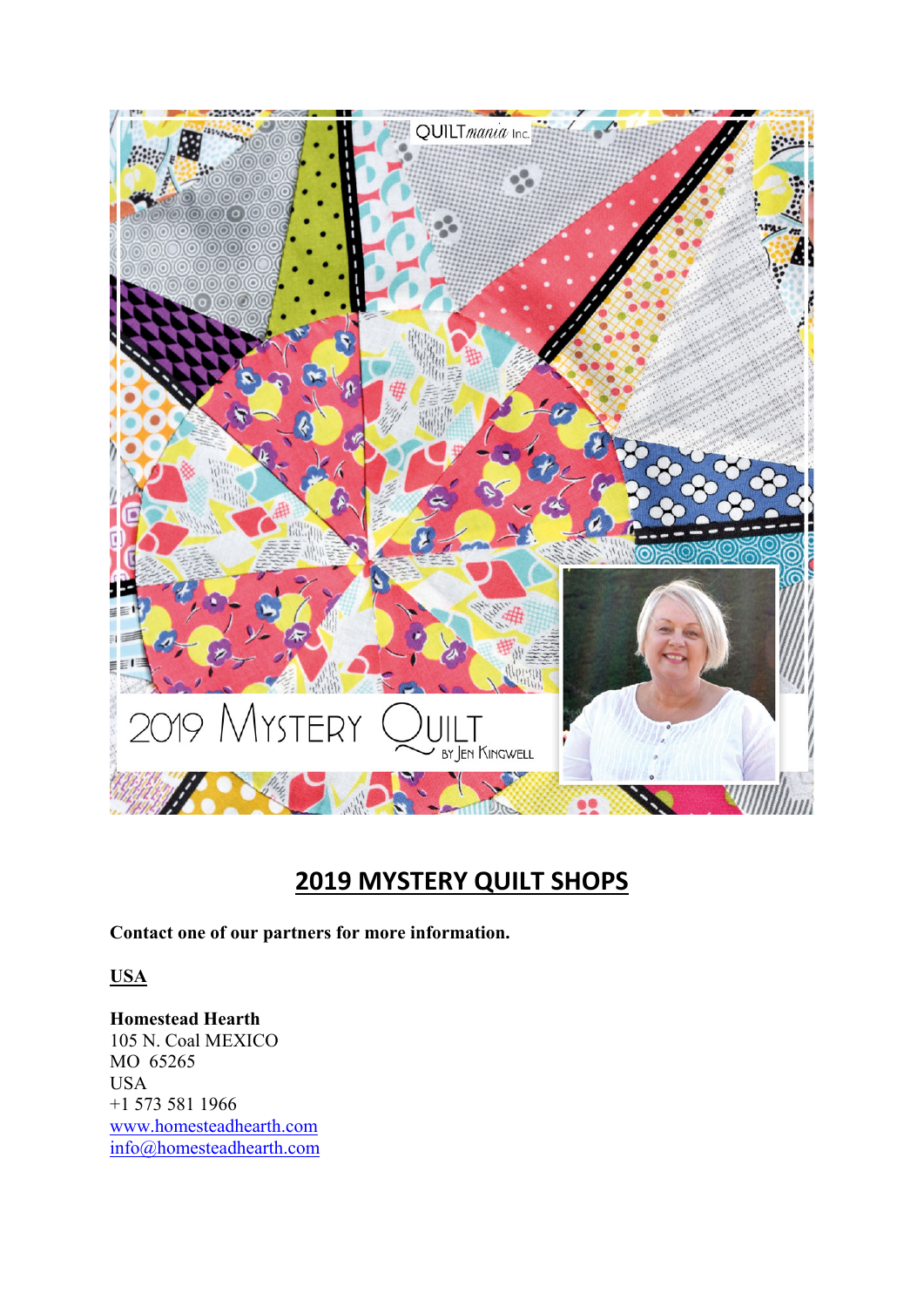

# **2019 MYSTERY QUILT SHOPS**

**Contact one of our partners for more information.**

**USA**

**Homestead Hearth** 105 N. Coal MEXICO MO 65265 USA +1 573 581 1966 [www.homesteadhearth.com](http://www.homesteadhearth.com/) [info@homesteadhearth.com](mailto:info@homesteadhearth.com)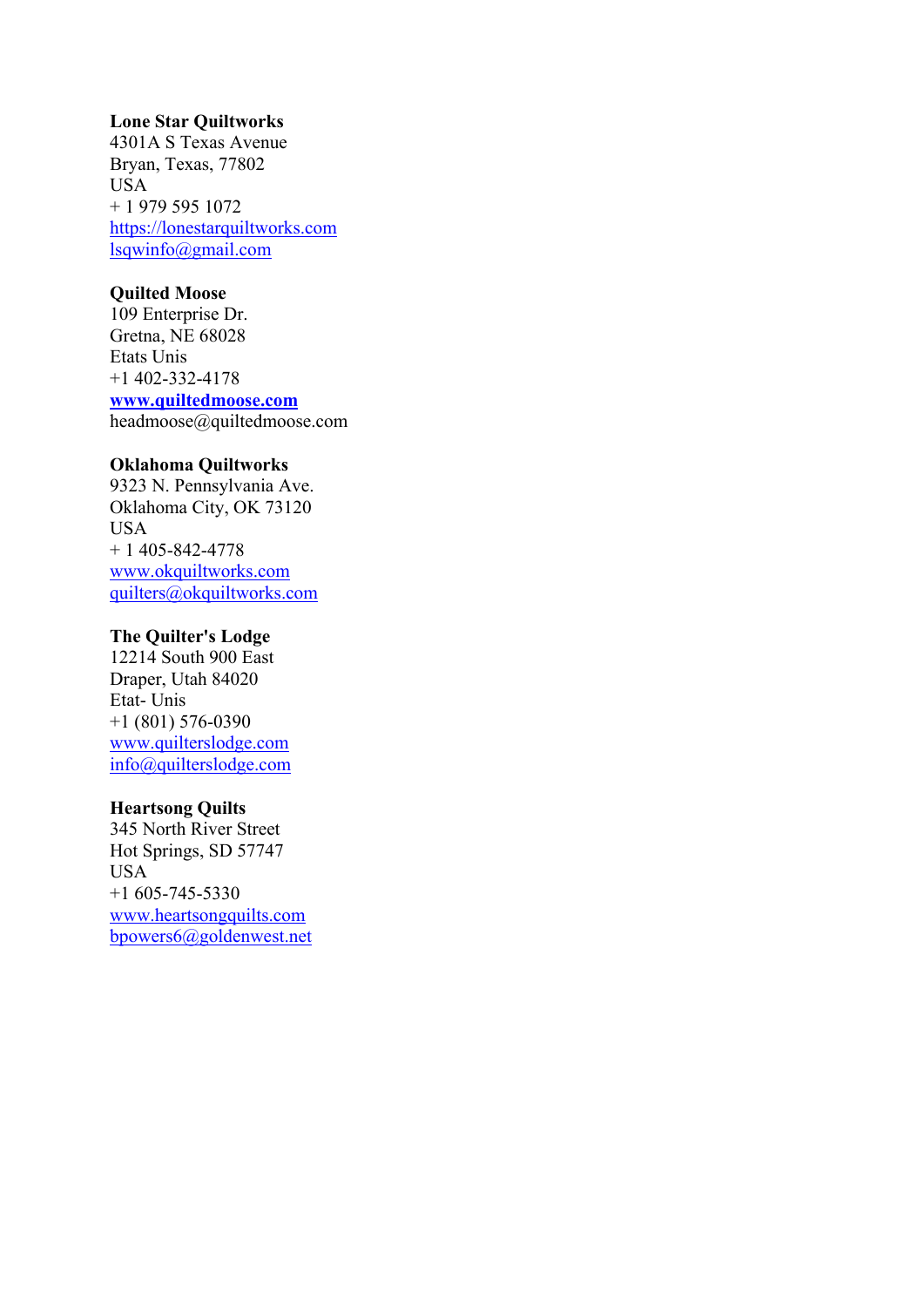#### **Lone Star Quiltworks**

4301A S Texas Avenue Bryan, Texas, 77802 USA + 1 979 595 1072 [https://lonestarquiltworks.com](https://lonestarquiltworks.com/) [lsqwinfo@gmail.com](mailto:lsqwinfo@gmail.com)

#### **Quilted Moose**

109 Enterprise Dr. Gretna, NE 68028 Etats Unis +1 402-332-4178 **[www.quiltedmoose.com](http://www.quiltedmoose.com/)** headmoose@quiltedmoose.com

#### **Oklahoma Quiltworks**

9323 N. Pennsylvania Ave. Oklahoma City, OK 73120 **USA**  $+ 1405 - 842 - 4778$ [www.okquiltworks.com](http://www.okquiltworks.com/) [quilters@okquiltworks.com](mailto:quilters@okquiltworks.com)

## **The Quilter's Lodge**

12214 South 900 East Draper, Utah 84020 Etat- Unis +1 (801) 576-0390 [www.quilterslodge.com](http://www.quilterslodge.com/) [info@quilterslodge.com](mailto:info@quilterslodge.com)

#### **Heartsong Quilts**

345 North River Street Hot Springs, SD 57747 USA +1 605-745-5330 [www.heartsongquilts.com](http://www.heartsongquilts.com/) [bpowers6@goldenwest.net](mailto:bpowers6@goldenwest.net)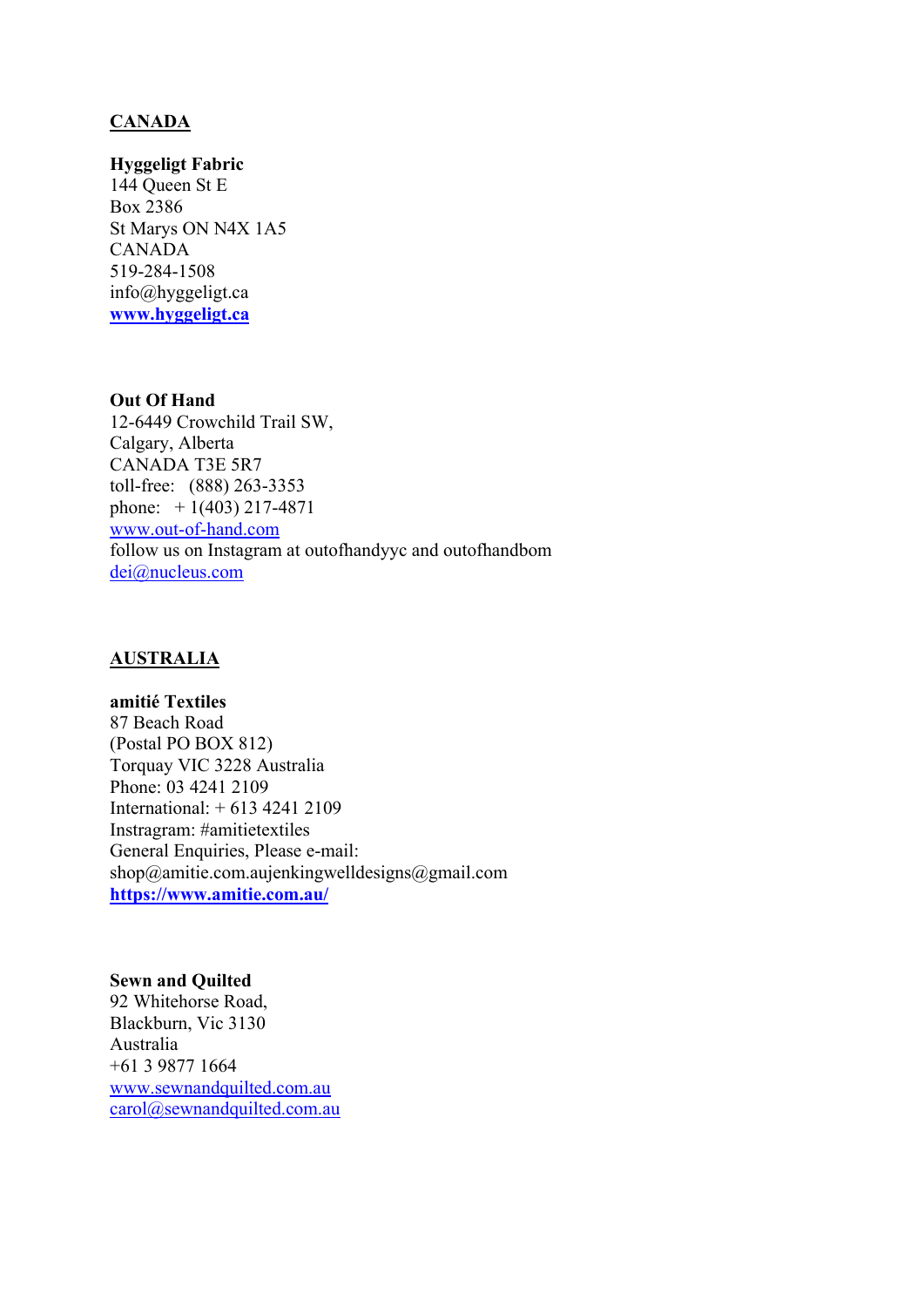## **CANADA**

## **Hyggeligt Fabric**

144 Queen St E Box 2386 St Marys ON N4X 1A5 CANADA 519-284-1508 info@hyggeligt.ca **[www.hyggeligt.ca](http://www.hyggeligt.ca/)**

## **Out Of Hand**

12-6449 Crowchild Trail SW, Calgary, Alberta CANADA T3E 5R7 toll-free: (888) 263-3353 phone:  $+1(403)$  217-4871 [www.out-of-hand.com](http://www.out-of-hand.com/) follow us on Instagram at outofhandyyc and outofhandbom [dei@nucleus.com](mailto:dei@nucleus.com)

# **AUSTRALIA**

**amitié Textiles** 87 Beach Road (Postal PO BOX 812) Torquay VIC 3228 Australia Phone: 03 4241 2109 International: + 613 4241 2109 Instragram: #amitietextiles General Enquiries, Please e-mail: shop@amitie.com.aujenkingwelldesigns@gmail.com **<https://www.amitie.com.au/>**

**Sewn and Quilted** 92 Whitehorse Road, Blackburn, Vic 3130 Australia +61 3 9877 1664 [www.sewnandquilted.com.au](http://www.sewnandquilted.com.au/) [carol@sewnandquilted.com.au](mailto:carol@sewnandquilted.com.au)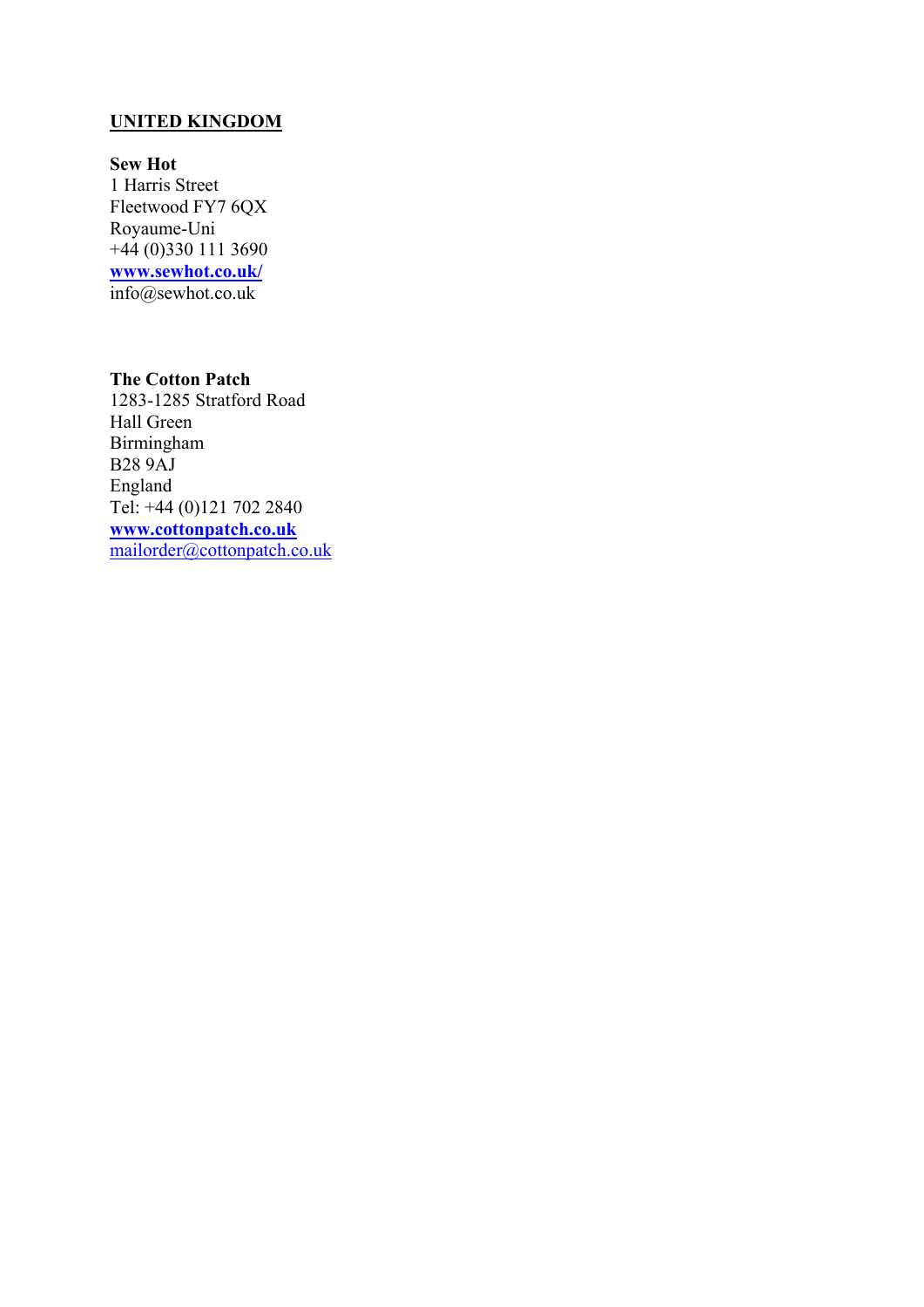# **UNITED KINGDOM**

## **Sew Hot**

1 Harris Street Fleetwood FY7 6QX Royaume-Uni +44 (0)330 111 3690 **[www.sewhot.co.uk/](https://eur02.safelinks.protection.outlook.com/?url=http%3A%2F%2Fwww.sewhot.co.uk%2F&data=02%7C01%7C%7C32ada07d53114eca328f08d659ee8065%7C84df9e7fe9f640afb435aaaaaaaaaaaa%7C1%7C0%7C636795281003581577&sdata=WP1uth5VQQZqQ6EXBUCCNk4LuiLj5ovhiugg7q4b%2FrU%3D&reserved=0)** info@sewhot.co.uk

## **The Cotton Patch**

1283-1285 Stratford Road Hall Green Birmingham B28 9AJ England Tel: +44 (0)121 702 2840 **[www.cottonpatch.co.uk](https://www.cottonpatch.co.uk/)** [mailorder@cottonpatch.co.uk](mailto:mailorder@cottonpatch.co.uk)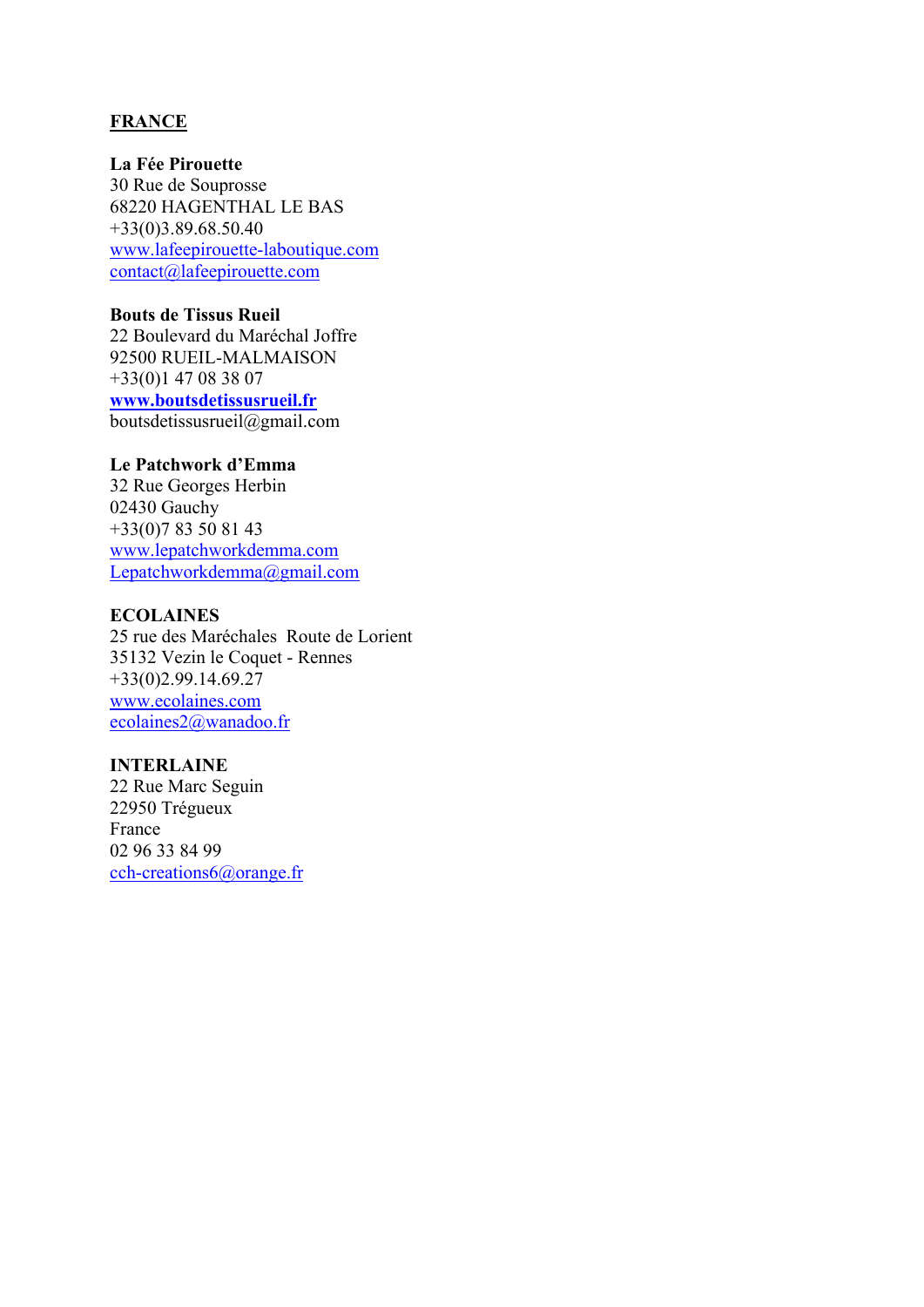# **FRANCE**

## **La Fée Pirouette**

30 Rue de Souprosse 68220 HAGENTHAL LE BAS +33(0)3.89.68.50.40 [www.lafeepirouette-laboutique.com](http://www.lafeepirouette-laboutique.com/) [contact@lafeepirouette.com](mailto:contact@lafeepirouette.com)

## **Bouts de Tissus Rueil**

22 Boulevard du Maréchal Joffre 92500 RUEIL-MALMAISON +33(0)1 47 08 38 07 **[www.boutsdetissusrueil.fr](http://www.boutsdetissusrueil.fr/)** boutsdetissusrueil@gmail.com

# **Le Patchwork d'Emma**

32 Rue Georges Herbin 02430 Gauchy +33(0)7 83 50 81 43 [www.lepatchworkdemma.com](http://www.lepatchworkdemma.com/) [Lepatchworkdemma@gmail.com](mailto:Lepatchworkdemma@gmail.com)

### **ECOLAINES**

25 rue des Maréchales Route de Lorient 35132 Vezin le Coquet - Rennes +33(0)2.99.14.69.27 [www.ecolaines.com](https://www.ecolaines.com/) [ecolaines2@wanadoo.fr](mailto:ecolaines2@wanadoo.fr)

#### **INTERLAINE**

22 Rue Marc Seguin 22950 Trégueux France 02 96 33 84 99 [cch-creations6@orange.fr](mailto:cch-creations6@orange.fr)